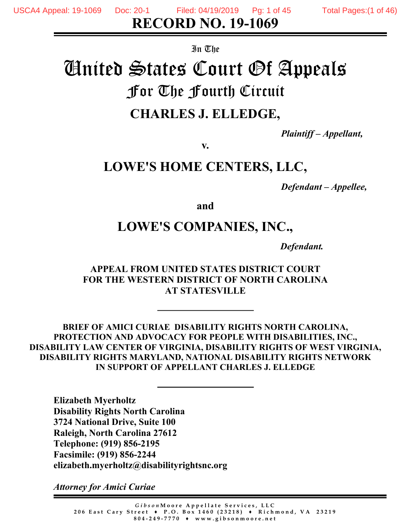In The

# United States Court Of Appeals For The Fourth Circuit **CHARLES J. ELLEDGE,**

*Plaintiff – Appellant,*

**v.**

# **LOWE'S HOME CENTERS, LLC,**

*Defendant – Appellee,*

**and**

# **LOWE'S COMPANIES, INC.,**

*Defendant.*

# **APPEAL FROM UNITED STATES DISTRICT COURT FOR THE WESTERN DISTRICT OF NORTH CAROLINA AT STATESVILLE**

**BRIEF OF AMICI CURIAE DISABILITY RIGHTS NORTH CAROLINA, PROTECTION AND ADVOCACY FOR PEOPLE WITH DISABILITIES, INC., DISABILITY LAW CENTER OF VIRGINIA, DISABILITY RIGHTS OF WEST VIRGINIA, DISABILITY RIGHTS MARYLAND, NATIONAL DISABILITY RIGHTS NETWORK IN SUPPORT OF APPELLANT CHARLES J. ELLEDGE**

**Elizabeth Myerholtz Disability Rights North Carolina 3724 National Drive, Suite 100 Raleigh, North Carolina 27612 Telephone: (919) 856-2195 Facsimile: (919) 856-2244 elizabeth.myerholtz@disabilityrightsnc.org**

*Attorney for Amici Curiae*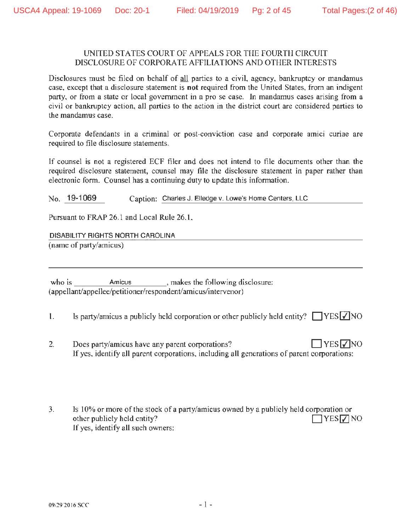### UNITED STATES COURT OF APPEALS FOR THE FOURTH CIRCUIT DISCLOSURE OF CORPORA TE AFFILIATIONS AND OTHER INTERESTS

Disclosures must be filed on behalf of all parties to a civil, agency, bankruptcy or mandamus case, except that a disclosure statement is **not** required from the United States, from an indigent party, or from a state or local government in a pro se case. In mandamus cases arising from a civil or bankruptcy action, all parties to the action in the district court are considered parties to the mandamus case.

Corporate defendants in a criminal or post-conviction case and corporate amici curiae are required to file disclosure statements.

If counsel is not a registered ECF filer and does not intend to file documents other than the required disclosure statement, counsel may file the disclosure statement in paper rather than electronic form. Counsel has a continuing duty to update this information.

No. 19-1069 Caption: Charles J. Elledge v. Lowe's Home Centers, LLC

Pursuant to FRAP 26.1 and Local Rule 26.1,

DISABILITY RIGHTS NORTH CAROLINA (name of party/amicus)

who is **Amicus** makes the following disclosure: (appellant/appellee/petitioner/respondent/amicus/intervenor)

- 1. Is party/amicus a publicly held corporation or other publicly held entity?  $\Box$  YES  $\Box$  NO
- 2. Does party/amicus have any parent corporations?  $\Box$  YES  $\Box$  YES  $\Box$ If yes, identify all parent corporations, including all generations of parent corporations:
- 3. Is 10% or more of the stock of a party/amicus owned by a publicly held corporation or other publicly held entity?  $\Box$  YES  $\Box$  NO 1f yes, identify all such owners: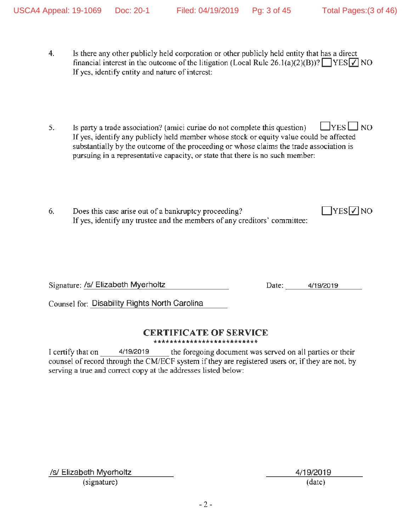$\Box$ YES $\nabla$ NO

- 4. Is there any other publicly held corporation or other publicly held entity that has a direct financial interest in the outcome of the litigation (Local Rule 26.1(a)(2)(B))?  $\Box$  YES  $\Box$  NO If yes, identify entity and nature of interest:
- 5. Is party a trade association? (amici curiae do not complete this question)  $\Box$  YES  $\Box$  NO If yes, identify any publicly held member whose stock or *equity* value could be affected substantially by the outcome of the proceeding or whose claims the trade association is pursuing in a representative capacity, or state that there is no such member:
- 6. Does this case arise out of a bankruptcy proceeding? If yes, identify any trustee and the members of any creditors' committee:

Signature: /s/ Elizabeth Myerholtz Date: 4/19/2019

Counsel for: Disability Rights North Carolina

### **CERTIFICATE OF SERVICE**  \*\*\*\*\*\*\*\*\*\*\*\*\*\*\*\*\*\*\*\*\*\*\*\*\*\*

I certify that on 4/19/2019 the foregoing document was served on all parties or their counsel of record through the CM/ECF system if they are registered users or, if they are not, by serving a true and correct copy at the addresses listed below:

/s/ Elizabeth Myerholtz 4/19/2019

(signature) (date)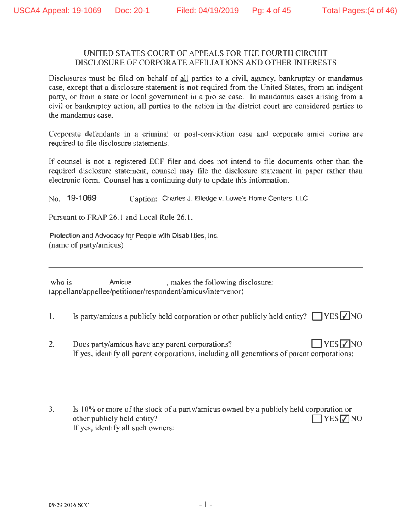### UNITED STATES COURT OF APPEALS FOR THE FOURTH CIRCUIT DISCLOSURE OF CORPORA TE AFFILIATIONS AND OTHER INTERESTS

Disclosures must be filed on behalf of all parties to a civil, agency, bankruptcy or mandamus case, except that a disclosure statement is **not** required from the United States, from an indigent party, or from a state or local government in a pro se case. In mandamus cases arising from a civil or bankruptcy action, all parties to the action in the district court are considered parties to the mandamus case.

Corporate defendants in a criminal or post-conviction case and corporate amici curiae are required to file disclosure statements.

If counsel is not a registered ECF filer and does not intend to file documents other than the required disclosure statement, counsel may file the disclosure statement in paper rather than electronic form. Counsel has a continuing duty to update this information.

No. 19-1069 Caption: Charles J. Elledge v. Lowe's Home Centers, LLC

Pursuant to FRAP 26.1 and Local Rule 26.1,

Protection and Advocacy for People with Disabilities, Inc. (name of party/amicus)

who is **Amicus** makes the following disclosure: (appellant/appellee/petitioner/respondent/amicus/intervenor)

- 1. Is party/amicus a publicly held corporation or other publicly held entity?  $\Box$  YES  $\Box$  NO
- 2. Does party/amicus have any parent corporations?  $\Box$  YES  $\Box$  YES  $\Box$ If yes, identify all parent corporations, including all generations of parent corporations:
- 3. Is 10% or more of the stock of a party/amicus owned by a publicly held corporation or other publicly held entity?  $\Box$  YES  $\Box$  NO 1f yes, identify all such owners: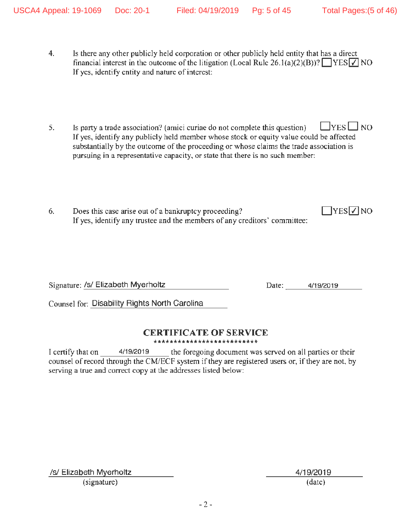$\Box$ YES $\nabla$ NO

- 4. Is there any other publicly held corporation or other publicly held entity that has a direct financial interest in the outcome of the litigation (Local Rule 26.1(a)(2)(B))?  $\Box$  YES  $\Box$  NO If yes, identify entity and nature of interest:
- 5. Is party a trade association? (amici curiae do not complete this question)  $\Box$  YES  $\Box$  NO If yes, identify any publicly held member whose stock or *equity* value could be affected substantially by the outcome of the proceeding or whose claims the trade association is pursuing in a representative capacity, or state that there is no such member:
- 6. Does this case arise out of a bankruptcy proceeding? If yes, identify any trustee and the members of any creditors' committee:

Signature: /s/ Elizabeth Myerholtz Date: 4/19/2019

Counsel for: Disability Rights North Carolina

### **CERTIFICATE OF SERVICE**  \*\*\*\*\*\*\*\*\*\*\*\*\*\*\*\*\*\*\*\*\*\*\*\*\*\*

I certify that on 4/19/2019 the foregoing document was served on all parties or their counsel of record through the CM/ECF system if they are registered users or, if they are not, by serving a true and correct copy at the addresses listed below:

/s/ Elizabeth Myerholtz 4/19/2019

(signature) (date)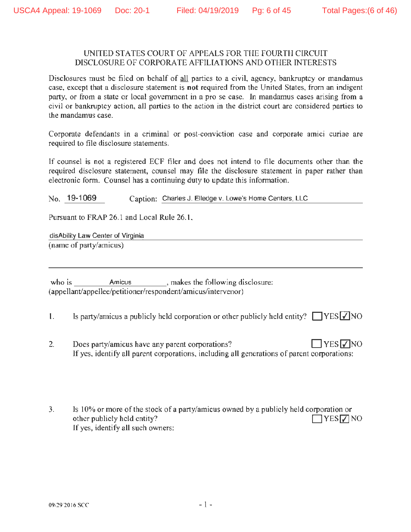### UNITED STATES COURT OF APPEALS FOR THE FOURTH CIRCUIT DISCLOSURE OF CORPORA TE AFFILIATIONS AND OTHER INTERESTS

Disclosures must be filed on behalf of all parties to a civil, agency, bankruptcy or mandamus case, except that a disclosure statement is **not** required from the United States, from an indigent party, or from a state or local government in a pro se case. In mandamus cases arising from a civil or bankruptcy action, all parties to the action in the district court are considered parties to the mandamus case.

Corporate defendants in a criminal or post-conviction case and corporate amici curiae are required to file disclosure statements.

If counsel is not a registered ECF filer and does not intend to file documents other than the required disclosure statement, counsel may file the disclosure statement in paper rather than electronic form. Counsel has a continuing duty to update this information.

No. 19-1069 Caption: Charles J. Elledge v. Lowe's Home Centers, LLC

Pursuant to FRAP 26.1 and Local Rule 26.1,

disAbility Law Center of Virginia (name of party/amicus)

who is **Amicus** makes the following disclosure: (appellant/appellee/petitioner/respondent/amicus/intervenor)

1. Is party/amicus a publicly held corporation or other publicly held entity?  $\Box$  YES  $\Box$  NO

- 2. Does party/amicus have any parent corporations?  $\Box$  YES  $\neg$  NO If yes, identify all parent corporations, including all generations of parent corporations:
- 3. Is 10% or more of the stock of a party/amicus owned by a publicly held corporation or other publicly held entity?  $\Box$  YES  $\Box$  NO 1f yes, identify all such owners: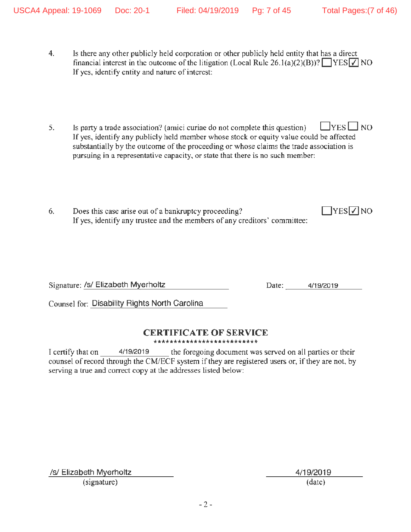$\Box$ YES $\nabla$ NO

- 4. Is there any other publicly held corporation or other publicly held entity that has a direct financial interest in the outcome of the litigation (Local Rule 26.1(a)(2)(B))?  $\Box$  YES  $\Box$  NO If yes, identify entity and nature of interest:
- 5. Is party a trade association? (amici curiae do not complete this question)  $\Box$  YES  $\Box$  NO If yes, identify any publicly held member whose stock or *equity* value could be affected substantially by the outcome of the proceeding or whose claims the trade association is pursuing in a representative capacity, or state that there is no such member:
- 6. Does this case arise out of a bankruptcy proceeding? If yes, identify any trustee and the members of any creditors' committee:

Signature: /s/ Elizabeth Myerholtz Date: 4/19/2019

Counsel for: Disability Rights North Carolina

### **CERTIFICATE OF SERVICE**  \*\*\*\*\*\*\*\*\*\*\*\*\*\*\*\*\*\*\*\*\*\*\*\*\*\*

I certify that on 4/19/2019 the foregoing document was served on all parties or their counsel of record through the CM/ECF system if they are registered users or, if they are not, by serving a true and correct copy at the addresses listed below:

/s/ Elizabeth Myerholtz 4/19/2019

(signature) (date)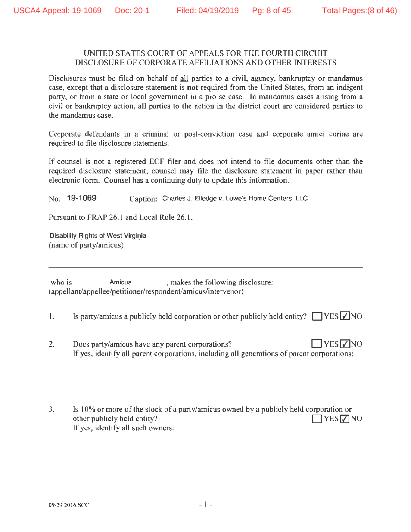### UNITED STATES COURT OF APPEALS FOR THE FOURTH CIRCUIT DISCLOSURE OF CORPORA TE AFFILIATIONS AND OTHER INTERESTS

Disclosures must be filed on behalf of all parties to a civil, agency, bankruptcy or mandamus case, except that a disclosure statement is **not** required from the United States, from an indigent party, or from a state or local government in a pro se case. In mandamus cases arising from a civil or bankruptcy action, all parties to the action in the district court are considered parties to the mandamus case.

Corporate defendants in a criminal or post-conviction case and corporate amici curiae are required to file disclosure statements.

If counsel is not a registered ECF filer and does not intend to file documents other than the required disclosure statement, counsel may file the disclosure statement in paper rather than electronic form. Counsel has a continuing duty to update this information.

No. 19-1069 Caption: Charles J. Elledge v. Lowe's Home Centers, LLC

Pursuant to FRAP 26.1 and Local Rule 26.1,

Disability Rights of West Virginia (name of party/amicus)

who is **Amicus** makes the following disclosure: (appellant/appellee/petitioner/respondent/amicus/intervenor)

- 1. Is party/amicus a publicly held corporation or other publicly held entity?  $\Box$  YES  $\Box$  NO
- 2. Does party/amicus have any parent corporations?  $\Box$  YES  $\Box$  YES  $\Box$ If yes, identify all parent corporations, including all generations of parent corporations:
- 3. Is 10% or more of the stock of a party/amicus owned by a publicly held corporation or other publicly held entity?  $\Box$  YES  $\Box$  NO 1f yes, identify all such owners: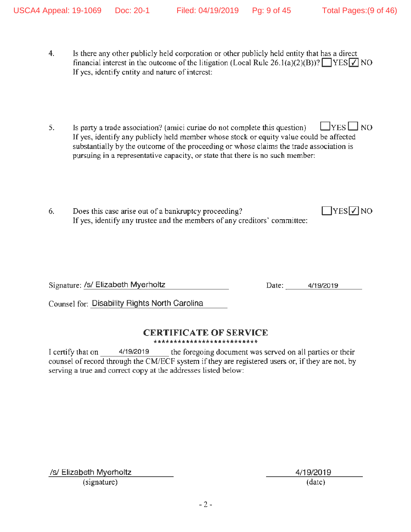$\Box$ YES $\nabla$ NO

- 4. Is there any other publicly held corporation or other publicly held entity that has a direct financial interest in the outcome of the litigation (Local Rule 26.1(a)(2)(B))?  $\Box$  YES  $\Box$  NO If yes, identify entity and nature of interest:
- 5. Is party a trade association? (amici curiae do not complete this question)  $\Box$  YES  $\Box$  NO If yes, identify any publicly held member whose stock or *equity* value could be affected substantially by the outcome of the proceeding or whose claims the trade association is pursuing in a representative capacity, or state that there is no such member:
- 6. Does this case arise out of a bankruptcy proceeding? If yes, identify any trustee and the members of any creditors' committee:

Signature: /s/ Elizabeth Myerholtz Date: 4/19/2019

Counsel for: Disability Rights North Carolina

### **CERTIFICATE OF SERVICE**  \*\*\*\*\*\*\*\*\*\*\*\*\*\*\*\*\*\*\*\*\*\*\*\*\*\*

I certify that on 4/19/2019 the foregoing document was served on all parties or their counsel of record through the CM/ECF system if they are registered users or, if they are not, by serving a true and correct copy at the addresses listed below:

/s/ Elizabeth Myerholtz 4/19/2019

(signature) (date)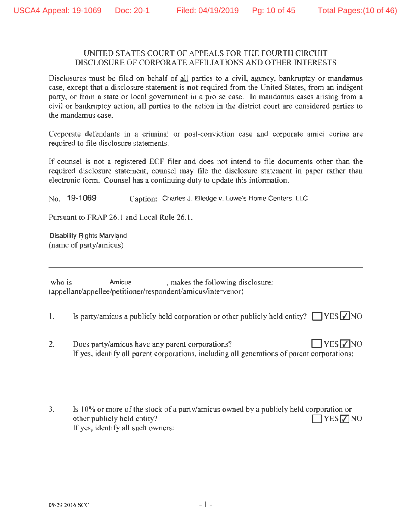### UNITED STATES COURT OF APPEALS FOR THE FOURTH CIRCUIT DISCLOSURE OF CORPORA TE AFFILIATIONS AND OTHER INTERESTS

Disclosures must be filed on behalf of all parties to a civil, agency, bankruptcy or mandamus case, except that a disclosure statement is **not** required from the United States, from an indigent party, or from a state or local government in a pro se case. In mandamus cases arising from a civil or bankruptcy action, all parties to the action in the district court are considered parties to the mandamus case.

Corporate defendants in a criminal or post-conviction case and corporate amici curiae are required to file disclosure statements.

If counsel is not a registered ECF filer and does not intend to file documents other than the required disclosure statement, counsel may file the disclosure statement in paper rather than electronic form. Counsel has a continuing duty to update this information.

No. 19-1069 Caption: Charles J. Elledge v. Lowe's Home Centers, LLC

Pursuant to FRAP 26.1 and Local Rule 26.1,

Disability Rights Maryland (name of party/amicus)

who is **Amicus** makes the following disclosure: (appellant/appellee/petitioner/respondent/amicus/intervenor)

- 1. Is party/amicus a publicly held corporation or other publicly held entity?  $\Box$  YES  $\Box$  NO
- 2. Does party/amicus have any parent corporations?  $\Box$  YES  $\Box$  YES  $\Box$ If yes, identify all parent corporations, including all generations of parent corporations:
- 3. Is 10% or more of the stock of a party/amicus owned by a publicly held corporation or other publicly held entity?  $\Box$  YES  $\Box$  NO 1f yes, identify all such owners: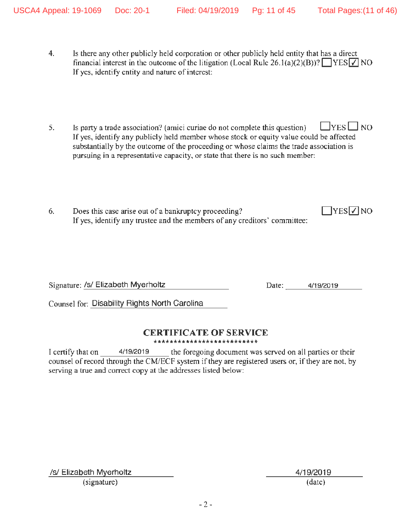- 4. Is there any other publicly held corporation or other publicly held entity that has a direct financial interest in the outcome of the litigation (Local Rule 26.1(a)(2)(B))?  $\Box$  YES  $\Box$  NO If yes, identify entity and nature of interest:
- 5. Is party a trade association? (amici curiae do not complete this question)  $\Box$  YES  $\Box$  NO If yes, identify any publicly held member whose stock or *equity* value could be affected substantially by the outcome of the proceeding or whose claims the trade association is pursuing in a representative capacity, or state that there is no such member:
- 6. Does this case arise out of a bankruptcy proceeding? If yes, identify any trustee and the members of any creditors' committee:

Signature: /s/ Elizabeth Myerholtz Date: 4/19/2019

 $\Box$ YES $\nabla$ NO

Counsel for: Disability Rights North Carolina

### **CERTIFICATE OF SERVICE**  \*\*\*\*\*\*\*\*\*\*\*\*\*\*\*\*\*\*\*\*\*\*\*\*\*\*

I certify that on 4/19/2019 the foregoing document was served on all parties or their counsel of record through the CM/ECF system if they are registered users or, if they are not, by serving a true and correct copy at the addresses listed below:

/s/ Elizabeth Myerholtz 4/19/2019

(signature) (date)

- 2 -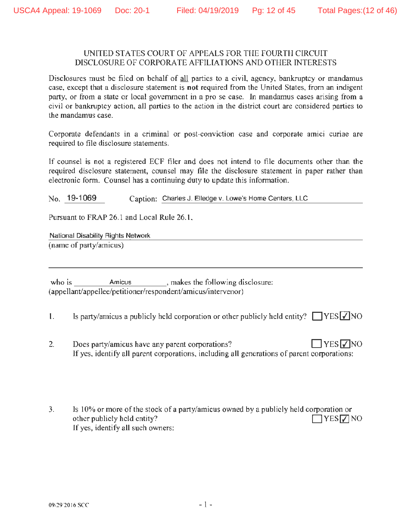### UNITED STATES COURT OF APPEALS FOR THE FOURTH CIRCUIT DISCLOSURE OF CORPORA TE AFFILIATIONS AND OTHER INTERESTS

Disclosures must be filed on behalf of all parties to a civil, agency, bankruptcy or mandamus case, except that a disclosure statement is **not** required from the United States, from an indigent party, or from a state or local government in a pro se case. In mandamus cases arising from a civil or bankruptcy action, all parties to the action in the district court are considered parties to the mandamus case.

Corporate defendants in a criminal or post-conviction case and corporate amici curiae are required to file disclosure statements.

If counsel is not a registered ECF filer and does not intend to file documents other than the required disclosure statement, counsel may file the disclosure statement in paper rather than electronic form. Counsel has a continuing duty to update this information.

No. 19-1069 Caption: Charles J. Elledge v. Lowe's Home Centers, LLC

Pursuant to FRAP 26.1 and Local Rule 26.1,

National Disability Rights Network (name of party/amicus)

who is **Amicus** makes the following disclosure: (appellant/appellee/petitioner/respondent/amicus/intervenor)

1. Is party/amicus a publicly held corporation or other publicly held entity?  $\Box$  YES  $\Box$  NO

- 2. Does party/amicus have any parent corporations?  $\Box$  YES  $\Box$  YES  $\Box$ If yes, identify all parent corporations, including all generations of parent corporations:
- 3. Is 10% or more of the stock of a party/amicus owned by a publicly held corporation or other publicly held entity?  $\Box$  YES  $\Box$  NO 1f yes, identify all such owners: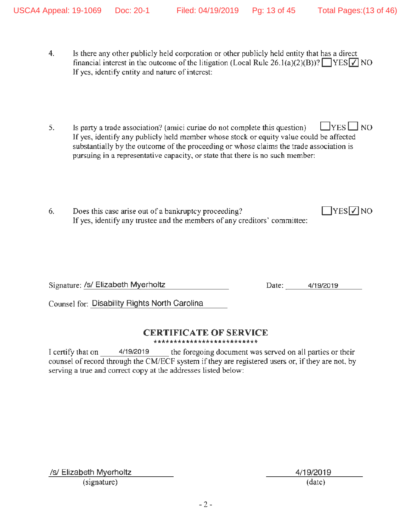- 4. Is there any other publicly held corporation or other publicly held entity that has a direct financial interest in the outcome of the litigation (Local Rule 26.1(a)(2)(B))?  $\Box$  YES  $\Box$  NO If yes, identify entity and nature of interest:
- 5. Is party a trade association? (amici curiae do not complete this question)  $\Box$  YES  $\Box$  NO If yes, identify any publicly held member whose stock or *equity* value could be affected substantially by the outcome of the proceeding or whose claims the trade association is pursuing in a representative capacity, or state that there is no such member:
- 6. Does this case arise out of a bankruptcy proceeding? If yes, identify any trustee and the members of any creditors' committee:

Signature: /s/ Elizabeth Myerholtz Date: 4/19/2019

 $\Box$ YES $\nabla$ NO

Counsel for: Disability Rights North Carolina

### **CERTIFICATE OF SERVICE**  \*\*\*\*\*\*\*\*\*\*\*\*\*\*\*\*\*\*\*\*\*\*\*\*\*\*

I certify that on 4/19/2019 the foregoing document was served on all parties or their counsel of record through the CM/ECF system if they are registered users or, if they are not, by serving a true and correct copy at the addresses listed below:

/s/ Elizabeth Myerholtz 4/19/2019

(signature) (date)

- 2 -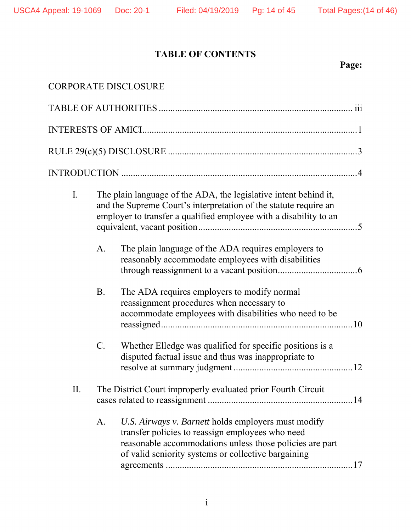# **TABLE OF CONTENTS**

# **Page:**

|     |           | <b>CORPORATE DISCLOSURE</b>                                                                                                                                                                                                |
|-----|-----------|----------------------------------------------------------------------------------------------------------------------------------------------------------------------------------------------------------------------------|
|     |           |                                                                                                                                                                                                                            |
|     |           |                                                                                                                                                                                                                            |
|     |           |                                                                                                                                                                                                                            |
|     |           |                                                                                                                                                                                                                            |
| I.  |           | The plain language of the ADA, the legislative intent behind it,<br>and the Supreme Court's interpretation of the statute require an<br>employer to transfer a qualified employee with a disability to an                  |
|     | A.        | The plain language of the ADA requires employers to<br>reasonably accommodate employees with disabilities                                                                                                                  |
|     | <b>B.</b> | The ADA requires employers to modify normal<br>reassignment procedures when necessary to<br>accommodate employees with disabilities who need to be                                                                         |
|     | $C$ .     | Whether Elledge was qualified for specific positions is a<br>disputed factual issue and thus was inappropriate to                                                                                                          |
| II. |           | The District Court improperly evaluated prior Fourth Circuit                                                                                                                                                               |
|     | A.        | U.S. Airways v. Barnett holds employers must modify<br>transfer policies to reassign employees who need<br>reasonable accommodations unless those policies are part<br>of valid seniority systems or collective bargaining |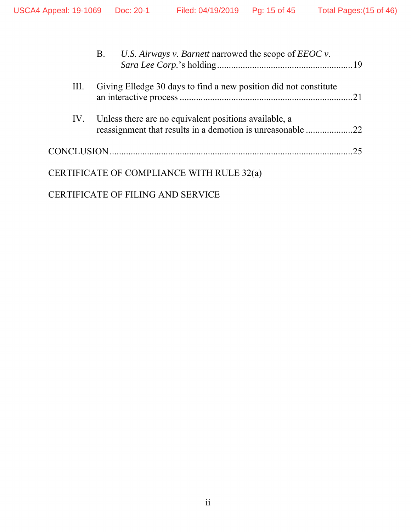|    | B. U.S. Airways v. Barnett narrowed the scope of EEOC v.                                                                |    |
|----|-------------------------------------------------------------------------------------------------------------------------|----|
| Ш. | Giving Elledge 30 days to find a new position did not constitute                                                        |    |
|    | IV. Unless there are no equivalent positions available, a<br>reassignment that results in a demotion is unreasonable 22 |    |
|    |                                                                                                                         | 25 |
|    | CERTIFICATE OF COMPLIANCE WITH RULE 32(a)                                                                               |    |
|    | <b>CERTIFICATE OF FILING AND SERVICE</b>                                                                                |    |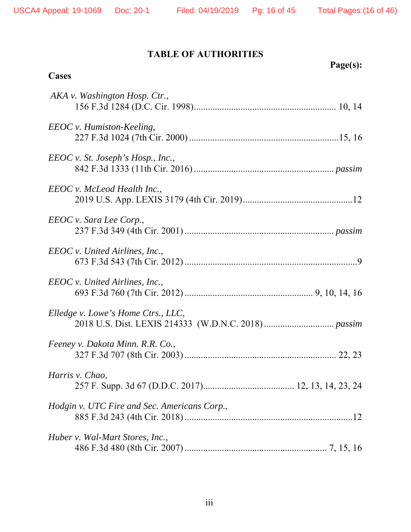# **TABLE OF AUTHORITIES**

| Page(s):<br>Cases                            |
|----------------------------------------------|
| AKA v. Washington Hosp. Ctr.,                |
| EEOC v. Humiston-Keeling,                    |
| $EEOC$ v. St. Joseph's Hosp., Inc.,          |
| EEOC v. McLeod Health Inc.,                  |
| EEOC v. Sara Lee Corp.,                      |
| EEOC v. United Airlines, Inc.,               |
| EEOC v. United Airlines, Inc.,               |
| Elledge v. Lowe's Home Ctrs., LLC,           |
| Feeney v. Dakota Minn. R.R. Co.,             |
| Harris v. Chao,                              |
| Hodgin v. UTC Fire and Sec. Americans Corp., |
| Huber v. Wal-Mart Stores, Inc.,              |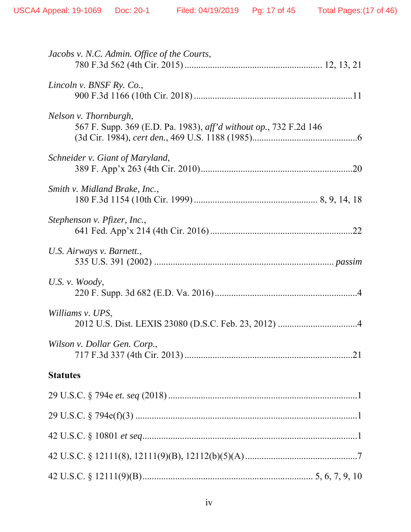| Jacobs v. N.C. Admin. Office of the Courts,                                                |
|--------------------------------------------------------------------------------------------|
| Lincoln v. BNSF Ry. Co.,                                                                   |
| Nelson v. Thornburgh,<br>567 F. Supp. 369 (E.D. Pa. 1983), aff'd without op., 732 F.2d 146 |
| Schneider v. Giant of Maryland,                                                            |
| Smith v. Midland Brake, Inc.,                                                              |
| Stephenson v. Pfizer, Inc.,                                                                |
| U.S. Airways v. Barnett.,                                                                  |
| U.S. v. Woody,                                                                             |
| Williams v. UPS,                                                                           |
| Wilson v. Dollar Gen. Corp.,                                                               |
| <b>Statutes</b>                                                                            |
|                                                                                            |
|                                                                                            |
|                                                                                            |
|                                                                                            |
|                                                                                            |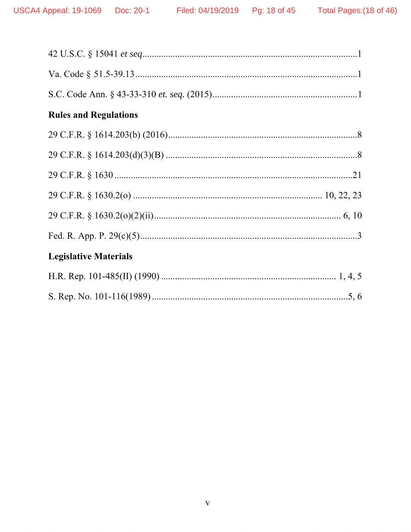| <b>Rules and Regulations</b> |
|------------------------------|
|                              |
|                              |
|                              |
|                              |
|                              |
|                              |
| <b>Legislative Materials</b> |
|                              |
|                              |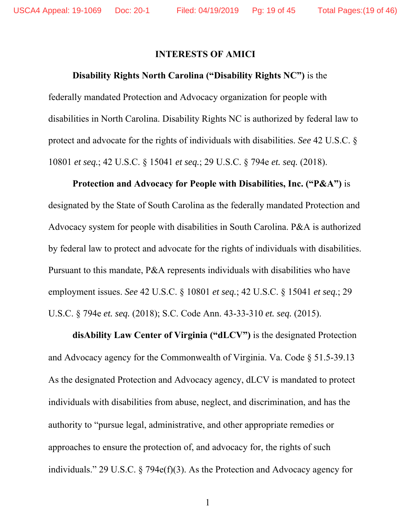### **INTERESTS OF AMICI**

### **Disability Rights North Carolina ("Disability Rights NC")** is the

federally mandated Protection and Advocacy organization for people with disabilities in North Carolina. Disability Rights NC is authorized by federal law to protect and advocate for the rights of individuals with disabilities. *See* 42 U.S.C. § 10801 *et seq.*; 42 U.S.C. § 15041 *et seq.*; 29 U.S.C. § 794e *et. seq.* (2018).

**Protection and Advocacy for People with Disabilities, Inc. ("P&A")** is designated by the State of South Carolina as the federally mandated Protection and Advocacy system for people with disabilities in South Carolina. P&A is authorized by federal law to protect and advocate for the rights of individuals with disabilities. Pursuant to this mandate, P&A represents individuals with disabilities who have employment issues. *See* 42 U.S.C. § 10801 *et seq.*; 42 U.S.C. § 15041 *et seq.*; 29 U.S.C. § 794e *et. seq.* (2018); S.C. Code Ann. 43-33-310 *et. seq.* (2015).

**disAbility Law Center of Virginia ("dLCV")** is the designated Protection and Advocacy agency for the Commonwealth of Virginia. Va. Code § 51.5-39.13 As the designated Protection and Advocacy agency, dLCV is mandated to protect individuals with disabilities from abuse, neglect, and discrimination, and has the authority to "pursue legal, administrative, and other appropriate remedies or approaches to ensure the protection of, and advocacy for, the rights of such individuals." 29 U.S.C. § 794e(f)(3). As the Protection and Advocacy agency for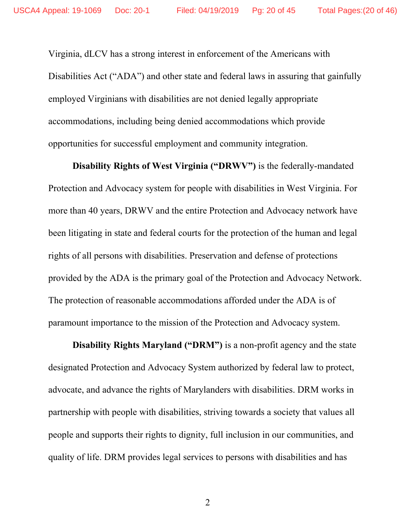Virginia, dLCV has a strong interest in enforcement of the Americans with Disabilities Act ("ADA") and other state and federal laws in assuring that gainfully employed Virginians with disabilities are not denied legally appropriate accommodations, including being denied accommodations which provide opportunities for successful employment and community integration.

**Disability Rights of West Virginia ("DRWV")** is the federally-mandated Protection and Advocacy system for people with disabilities in West Virginia. For more than 40 years, DRWV and the entire Protection and Advocacy network have been litigating in state and federal courts for the protection of the human and legal rights of all persons with disabilities. Preservation and defense of protections provided by the ADA is the primary goal of the Protection and Advocacy Network. The protection of reasonable accommodations afforded under the ADA is of paramount importance to the mission of the Protection and Advocacy system.

**Disability Rights Maryland ("DRM")** is a non-profit agency and the state designated Protection and Advocacy System authorized by federal law to protect, advocate, and advance the rights of Marylanders with disabilities. DRM works in partnership with people with disabilities, striving towards a society that values all people and supports their rights to dignity, full inclusion in our communities, and quality of life. DRM provides legal services to persons with disabilities and has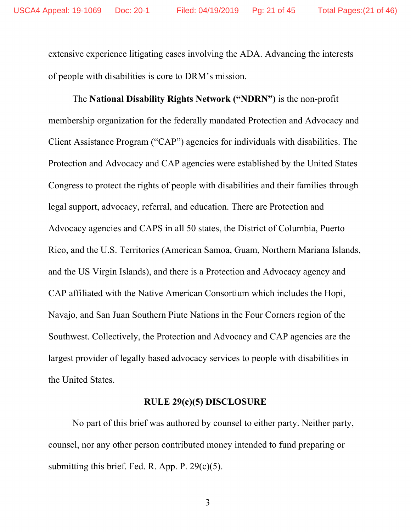extensive experience litigating cases involving the ADA. Advancing the interests of people with disabilities is core to DRM's mission.

The **National Disability Rights Network ("NDRN")** is the non-profit membership organization for the federally mandated Protection and Advocacy and Client Assistance Program ("CAP") agencies for individuals with disabilities. The Protection and Advocacy and CAP agencies were established by the United States Congress to protect the rights of people with disabilities and their families through legal support, advocacy, referral, and education. There are Protection and Advocacy agencies and CAPS in all 50 states, the District of Columbia, Puerto Rico, and the U.S. Territories (American Samoa, Guam, Northern Mariana Islands, and the US Virgin Islands), and there is a Protection and Advocacy agency and CAP affiliated with the Native American Consortium which includes the Hopi, Navajo, and San Juan Southern Piute Nations in the Four Corners region of the Southwest. Collectively, the Protection and Advocacy and CAP agencies are the largest provider of legally based advocacy services to people with disabilities in the United States.

### **RULE 29(c)(5) DISCLOSURE**

 No part of this brief was authored by counsel to either party. Neither party, counsel, nor any other person contributed money intended to fund preparing or submitting this brief. Fed. R. App. P.  $29(c)(5)$ .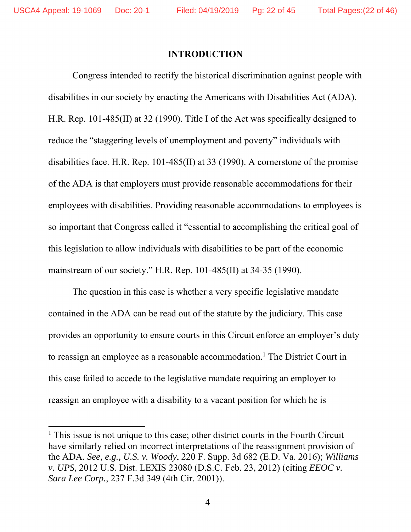### **INTRODUCTION**

Congress intended to rectify the historical discrimination against people with disabilities in our society by enacting the Americans with Disabilities Act (ADA). H.R. Rep. 101-485(II) at 32 (1990). Title I of the Act was specifically designed to reduce the "staggering levels of unemployment and poverty" individuals with disabilities face. H.R. Rep. 101-485(II) at 33 (1990). A cornerstone of the promise of the ADA is that employers must provide reasonable accommodations for their employees with disabilities. Providing reasonable accommodations to employees is so important that Congress called it "essential to accomplishing the critical goal of this legislation to allow individuals with disabilities to be part of the economic mainstream of our society." H.R. Rep. 101-485(II) at 34-35 (1990).

The question in this case is whether a very specific legislative mandate contained in the ADA can be read out of the statute by the judiciary. This case provides an opportunity to ensure courts in this Circuit enforce an employer's duty to reassign an employee as a reasonable accommodation.<sup>1</sup> The District Court in this case failed to accede to the legislative mandate requiring an employer to reassign an employee with a disability to a vacant position for which he is

<sup>&</sup>lt;sup>1</sup> This issue is not unique to this case; other district courts in the Fourth Circuit have similarly relied on incorrect interpretations of the reassignment provision of the ADA. *See, e.g., U.S. v. Woody*, 220 F. Supp. 3d 682 (E.D. Va. 2016); *Williams v. UPS*, 2012 U.S. Dist. LEXIS 23080 (D.S.C. Feb. 23, 2012) (citing *EEOC v. Sara Lee Corp.*, 237 F.3d 349 (4th Cir. 2001)).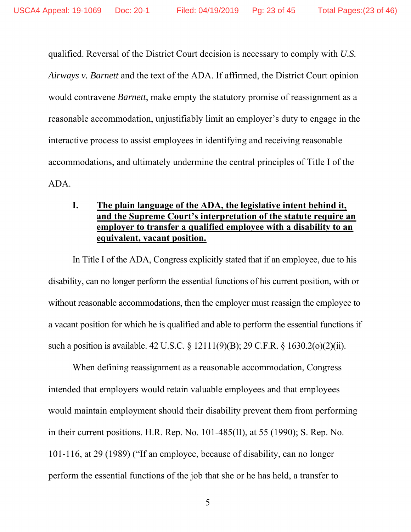qualified. Reversal of the District Court decision is necessary to comply with *U.S. Airways v. Barnett* and the text of the ADA. If affirmed, the District Court opinion would contravene *Barnett*, make empty the statutory promise of reassignment as a reasonable accommodation, unjustifiably limit an employer's duty to engage in the interactive process to assist employees in identifying and receiving reasonable accommodations, and ultimately undermine the central principles of Title I of the ADA.

# **I. The plain language of the ADA, the legislative intent behind it, and the Supreme Court's interpretation of the statute require an employer to transfer a qualified employee with a disability to an equivalent, vacant position.**

In Title I of the ADA, Congress explicitly stated that if an employee, due to his disability, can no longer perform the essential functions of his current position, with or without reasonable accommodations, then the employer must reassign the employee to a vacant position for which he is qualified and able to perform the essential functions if such a position is available. 42 U.S.C. § 12111(9)(B); 29 C.F.R. § 1630.2(o)(2)(ii).

When defining reassignment as a reasonable accommodation, Congress intended that employers would retain valuable employees and that employees would maintain employment should their disability prevent them from performing in their current positions. H.R. Rep. No. 101-485(II), at 55 (1990); S. Rep. No. 101-116, at 29 (1989) ("If an employee, because of disability, can no longer perform the essential functions of the job that she or he has held, a transfer to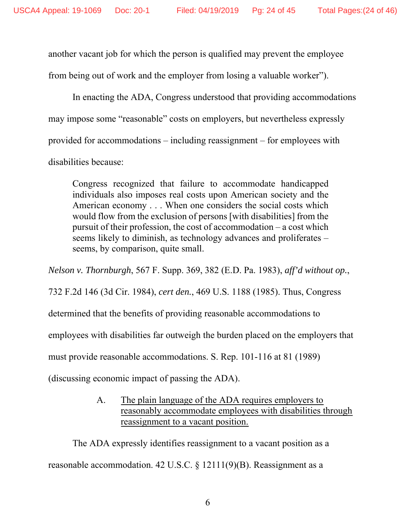another vacant job for which the person is qualified may prevent the employee from being out of work and the employer from losing a valuable worker").

In enacting the ADA, Congress understood that providing accommodations may impose some "reasonable" costs on employers, but nevertheless expressly provided for accommodations – including reassignment – for employees with disabilities because:

Congress recognized that failure to accommodate handicapped individuals also imposes real costs upon American society and the American economy . . . When one considers the social costs which would flow from the exclusion of persons [with disabilities] from the pursuit of their profession, the cost of accommodation – a cost which seems likely to diminish, as technology advances and proliferates – seems, by comparison, quite small.

*Nelson v. Thornburgh*, 567 F. Supp. 369, 382 (E.D. Pa. 1983), *aff'd without op.*,

732 F.2d 146 (3d Cir. 1984), *cert den.*, 469 U.S. 1188 (1985). Thus, Congress

determined that the benefits of providing reasonable accommodations to

employees with disabilities far outweigh the burden placed on the employers that

must provide reasonable accommodations. S. Rep. 101-116 at 81 (1989)

(discussing economic impact of passing the ADA).

A. The plain language of the ADA requires employers to reasonably accommodate employees with disabilities through reassignment to a vacant position.

The ADA expressly identifies reassignment to a vacant position as a reasonable accommodation. 42 U.S.C. § 12111(9)(B). Reassignment as a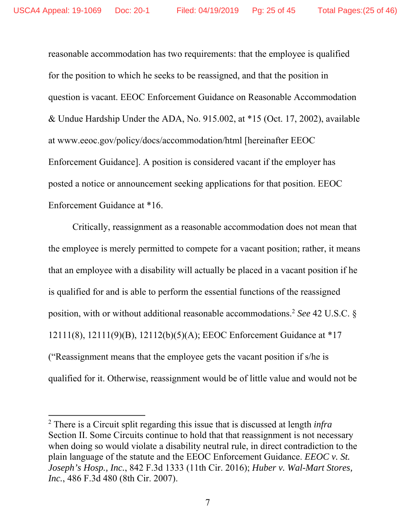reasonable accommodation has two requirements: that the employee is qualified for the position to which he seeks to be reassigned, and that the position in question is vacant. EEOC Enforcement Guidance on Reasonable Accommodation & Undue Hardship Under the ADA, No. 915.002, at \*15 (Oct. 17, 2002), available at www.eeoc.gov/policy/docs/accommodation/html [hereinafter EEOC Enforcement Guidance]. A position is considered vacant if the employer has posted a notice or announcement seeking applications for that position. EEOC Enforcement Guidance at \*16.

Critically, reassignment as a reasonable accommodation does not mean that the employee is merely permitted to compete for a vacant position; rather, it means that an employee with a disability will actually be placed in a vacant position if he is qualified for and is able to perform the essential functions of the reassigned position, with or without additional reasonable accommodations.2 *See* 42 U.S.C. § 12111(8), 12111(9)(B), 12112(b)(5)(A); EEOC Enforcement Guidance at \*17 ("Reassignment means that the employee gets the vacant position if s/he is qualified for it. Otherwise, reassignment would be of little value and would not be

<sup>2</sup> There is a Circuit split regarding this issue that is discussed at length *infra* Section II. Some Circuits continue to hold that that reassignment is not necessary when doing so would violate a disability neutral rule, in direct contradiction to the plain language of the statute and the EEOC Enforcement Guidance. *EEOC v. St. Joseph's Hosp., Inc.*, 842 F.3d 1333 (11th Cir. 2016); *Huber v. Wal-Mart Stores, Inc.*, 486 F.3d 480 (8th Cir. 2007).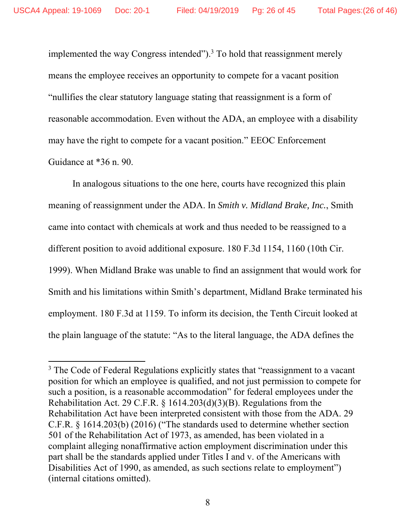implemented the way Congress intended"). $3$  To hold that reassignment merely means the employee receives an opportunity to compete for a vacant position "nullifies the clear statutory language stating that reassignment is a form of reasonable accommodation. Even without the ADA, an employee with a disability may have the right to compete for a vacant position." EEOC Enforcement Guidance at \*36 n. 90.

In analogous situations to the one here, courts have recognized this plain meaning of reassignment under the ADA. In *Smith v. Midland Brake, Inc.*, Smith came into contact with chemicals at work and thus needed to be reassigned to a different position to avoid additional exposure. 180 F.3d 1154, 1160 (10th Cir. 1999). When Midland Brake was unable to find an assignment that would work for Smith and his limitations within Smith's department, Midland Brake terminated his employment. 180 F.3d at 1159. To inform its decision, the Tenth Circuit looked at the plain language of the statute: "As to the literal language, the ADA defines the

<sup>&</sup>lt;sup>3</sup> The Code of Federal Regulations explicitly states that "reassignment to a vacant position for which an employee is qualified, and not just permission to compete for such a position, is a reasonable accommodation" for federal employees under the Rehabilitation Act. 29 C.F.R. § 1614.203(d)(3)(B). Regulations from the Rehabilitation Act have been interpreted consistent with those from the ADA. 29 C.F.R. § 1614.203(b) (2016) ("The standards used to determine whether section 501 of the Rehabilitation Act of 1973, as amended, has been violated in a complaint alleging nonaffirmative action employment discrimination under this part shall be the standards applied under Titles I and v. of the Americans with Disabilities Act of 1990, as amended, as such sections relate to employment") (internal citations omitted).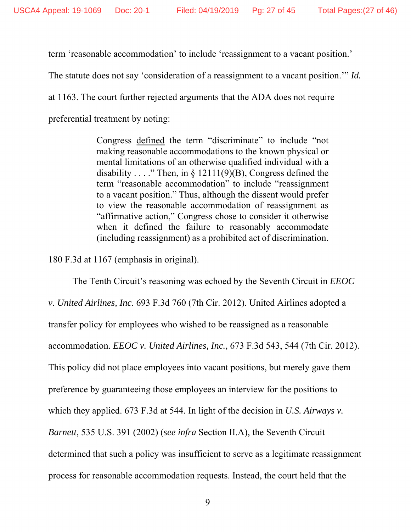term 'reasonable accommodation' to include 'reassignment to a vacant position.'

The statute does not say 'consideration of a reassignment to a vacant position.'" *Id.*

at 1163. The court further rejected arguments that the ADA does not require

preferential treatment by noting:

Congress defined the term "discriminate" to include "not making reasonable accommodations to the known physical or mental limitations of an otherwise qualified individual with a disability . . . ." Then, in  $\S$  12111(9)(B), Congress defined the term "reasonable accommodation" to include "reassignment to a vacant position." Thus, although the dissent would prefer to view the reasonable accommodation of reassignment as "affirmative action," Congress chose to consider it otherwise when it defined the failure to reasonably accommodate (including reassignment) as a prohibited act of discrimination.

180 F.3d at 1167 (emphasis in original).

The Tenth Circuit's reasoning was echoed by the Seventh Circuit in *EEOC v. United Airlines, Inc*. 693 F.3d 760 (7th Cir. 2012). United Airlines adopted a transfer policy for employees who wished to be reassigned as a reasonable accommodation. *EEOC v. United Airlines, Inc.*, 673 F.3d 543, 544 (7th Cir. 2012). This policy did not place employees into vacant positions, but merely gave them preference by guaranteeing those employees an interview for the positions to which they applied. 673 F.3d at 544. In light of the decision in *U.S. Airways v. Barnett*, 535 U.S. 391 (2002) (*see infra* Section II.A), the Seventh Circuit determined that such a policy was insufficient to serve as a legitimate reassignment process for reasonable accommodation requests. Instead, the court held that the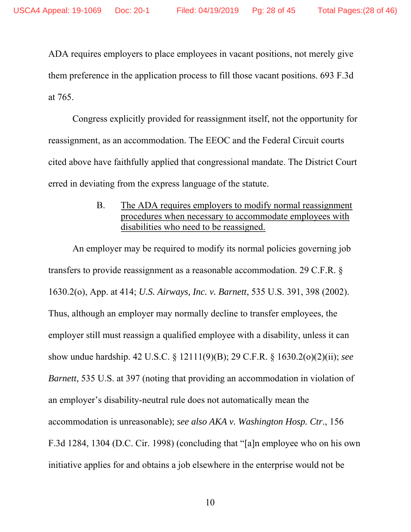ADA requires employers to place employees in vacant positions, not merely give them preference in the application process to fill those vacant positions. 693 F.3d at 765.

Congress explicitly provided for reassignment itself, not the opportunity for reassignment, as an accommodation. The EEOC and the Federal Circuit courts cited above have faithfully applied that congressional mandate. The District Court erred in deviating from the express language of the statute.

> B. The ADA requires employers to modify normal reassignment procedures when necessary to accommodate employees with disabilities who need to be reassigned.

An employer may be required to modify its normal policies governing job transfers to provide reassignment as a reasonable accommodation. 29 C.F.R. § 1630.2(o), App. at 414; *U.S. Airways, Inc. v. Barnett*, 535 U.S. 391, 398 (2002). Thus, although an employer may normally decline to transfer employees, the employer still must reassign a qualified employee with a disability, unless it can show undue hardship. 42 U.S.C. § 12111(9)(B); 29 C.F.R. § 1630.2(o)(2)(ii); *see Barnett*, 535 U.S. at 397 (noting that providing an accommodation in violation of an employer's disability-neutral rule does not automatically mean the accommodation is unreasonable); *see also AKA v. Washington Hosp. Ctr*., 156 F.3d 1284, 1304 (D.C. Cir. 1998) (concluding that "[a]n employee who on his own initiative applies for and obtains a job elsewhere in the enterprise would not be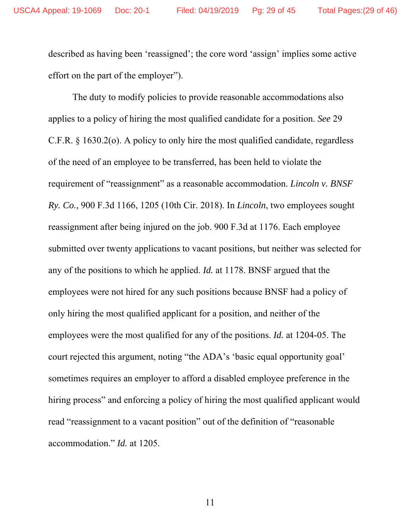described as having been 'reassigned'; the core word 'assign' implies some active effort on the part of the employer").

The duty to modify policies to provide reasonable accommodations also applies to a policy of hiring the most qualified candidate for a position. *See* 29 C.F.R. § 1630.2(o). A policy to only hire the most qualified candidate, regardless of the need of an employee to be transferred, has been held to violate the requirement of "reassignment" as a reasonable accommodation. *Lincoln v. BNSF Ry. Co.*, 900 F.3d 1166, 1205 (10th Cir. 2018). In *Lincoln*, two employees sought reassignment after being injured on the job. 900 F.3d at 1176. Each employee submitted over twenty applications to vacant positions, but neither was selected for any of the positions to which he applied. *Id.* at 1178. BNSF argued that the employees were not hired for any such positions because BNSF had a policy of only hiring the most qualified applicant for a position, and neither of the employees were the most qualified for any of the positions. *Id.* at 1204-05. The court rejected this argument, noting "the ADA's 'basic equal opportunity goal' sometimes requires an employer to afford a disabled employee preference in the hiring process" and enforcing a policy of hiring the most qualified applicant would read "reassignment to a vacant position" out of the definition of "reasonable accommodation." *Id.* at 1205.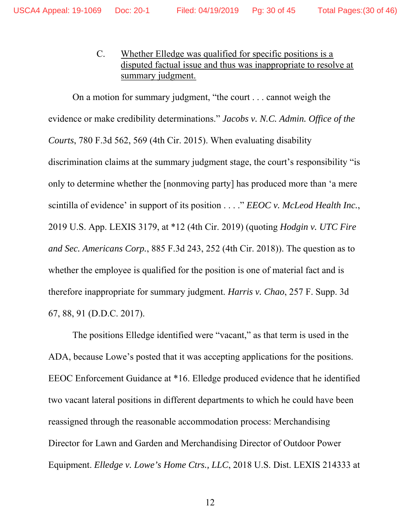C. Whether Elledge was qualified for specific positions is a disputed factual issue and thus was inappropriate to resolve at summary judgment.

On a motion for summary judgment, "the court . . . cannot weigh the evidence or make credibility determinations." *Jacobs v. N.C. Admin. Office of the Courts*, 780 F.3d 562, 569 (4th Cir. 2015). When evaluating disability discrimination claims at the summary judgment stage, the court's responsibility "is only to determine whether the [nonmoving party] has produced more than 'a mere scintilla of evidence' in support of its position . . . ." *EEOC v. McLeod Health Inc.*, 2019 U.S. App. LEXIS 3179, at \*12 (4th Cir. 2019) (quoting *Hodgin v. UTC Fire and Sec. Americans Corp.*, 885 F.3d 243, 252 (4th Cir. 2018)). The question as to whether the employee is qualified for the position is one of material fact and is therefore inappropriate for summary judgment. *Harris v. Chao*, 257 F. Supp. 3d 67, 88, 91 (D.D.C. 2017).

The positions Elledge identified were "vacant," as that term is used in the ADA, because Lowe's posted that it was accepting applications for the positions. EEOC Enforcement Guidance at \*16. Elledge produced evidence that he identified two vacant lateral positions in different departments to which he could have been reassigned through the reasonable accommodation process: Merchandising Director for Lawn and Garden and Merchandising Director of Outdoor Power Equipment. *Elledge v. Lowe's Home Ctrs., LLC*, 2018 U.S. Dist. LEXIS 214333 at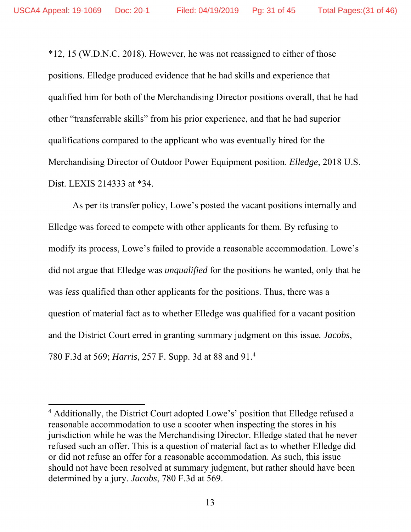\*12, 15 (W.D.N.C. 2018). However, he was not reassigned to either of those positions. Elledge produced evidence that he had skills and experience that qualified him for both of the Merchandising Director positions overall, that he had other "transferrable skills" from his prior experience, and that he had superior qualifications compared to the applicant who was eventually hired for the Merchandising Director of Outdoor Power Equipment position. *Elledge*, 2018 U.S. Dist. LEXIS 214333 at \*34.

As per its transfer policy, Lowe's posted the vacant positions internally and Elledge was forced to compete with other applicants for them. By refusing to modify its process, Lowe's failed to provide a reasonable accommodation. Lowe's did not argue that Elledge was *unqualified* for the positions he wanted, only that he was *less* qualified than other applicants for the positions. Thus, there was a question of material fact as to whether Elledge was qualified for a vacant position and the District Court erred in granting summary judgment on this issue*. Jacobs*, 780 F.3d at 569; *Harris*, 257 F. Supp. 3d at 88 and 91.4

<sup>&</sup>lt;sup>4</sup> Additionally, the District Court adopted Lowe's' position that Elledge refused a reasonable accommodation to use a scooter when inspecting the stores in his jurisdiction while he was the Merchandising Director. Elledge stated that he never refused such an offer. This is a question of material fact as to whether Elledge did or did not refuse an offer for a reasonable accommodation. As such, this issue should not have been resolved at summary judgment, but rather should have been determined by a jury. *Jacobs*, 780 F.3d at 569.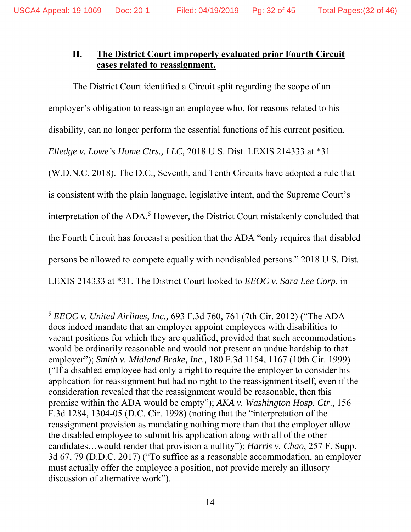# **II. The District Court improperly evaluated prior Fourth Circuit cases related to reassignment.**

The District Court identified a Circuit split regarding the scope of an employer's obligation to reassign an employee who, for reasons related to his disability, can no longer perform the essential functions of his current position. *Elledge v. Lowe's Home Ctrs., LLC*, 2018 U.S. Dist. LEXIS 214333 at \*31 (W.D.N.C. 2018). The D.C., Seventh, and Tenth Circuits have adopted a rule that is consistent with the plain language, legislative intent, and the Supreme Court's interpretation of the ADA.<sup>5</sup> However, the District Court mistakenly concluded that the Fourth Circuit has forecast a position that the ADA "only requires that disabled persons be allowed to compete equally with nondisabled persons." 2018 U.S. Dist. LEXIS 214333 at \*31. The District Court looked to *EEOC v. Sara Lee Corp.* in

<sup>5</sup> *EEOC v. United Airlines, Inc.,* 693 F.3d 760, 761 (7th Cir. 2012) ("The ADA does indeed mandate that an employer appoint employees with disabilities to vacant positions for which they are qualified, provided that such accommodations would be ordinarily reasonable and would not present an undue hardship to that employer"); *Smith v. Midland Brake, Inc.,* 180 F.3d 1154, 1167 (10th Cir. 1999) ("If a disabled employee had only a right to require the employer to consider his application for reassignment but had no right to the reassignment itself, even if the consideration revealed that the reassignment would be reasonable, then this promise within the ADA would be empty"); *AKA v. Washington Hosp. Ctr*., 156 F.3d 1284, 1304-05 (D.C. Cir. 1998) (noting that the "interpretation of the reassignment provision as mandating nothing more than that the employer allow the disabled employee to submit his application along with all of the other candidates…would render that provision a nullity"); *Harris v. Chao*, 257 F. Supp. 3d 67, 79 (D.D.C. 2017) ("To suffice as a reasonable accommodation, an employer must actually offer the employee a position, not provide merely an illusory discussion of alternative work").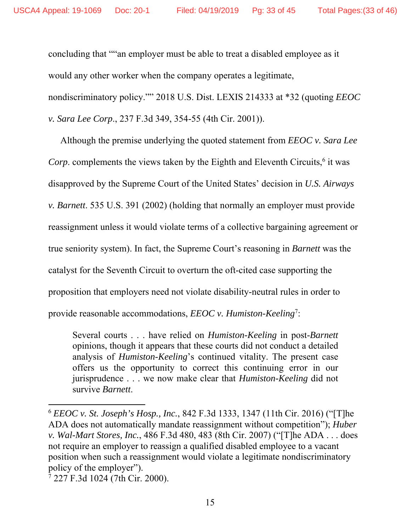concluding that ""an employer must be able to treat a disabled employee as it would any other worker when the company operates a legitimate, nondiscriminatory policy."" 2018 U.S. Dist. LEXIS 214333 at \*32 (quoting *EEOC v. Sara Lee Corp*., 237 F.3d 349, 354-55 (4th Cir. 2001)).

Although the premise underlying the quoted statement from *EEOC v. Sara Lee*  Corp. complements the views taken by the Eighth and Eleventh Circuits,<sup>6</sup> it was disapproved by the Supreme Court of the United States' decision in *U.S. Airways v. Barnett*. 535 U.S. 391 (2002) (holding that normally an employer must provide reassignment unless it would violate terms of a collective bargaining agreement or true seniority system). In fact, the Supreme Court's reasoning in *Barnett* was the catalyst for the Seventh Circuit to overturn the oft-cited case supporting the proposition that employers need not violate disability-neutral rules in order to provide reasonable accommodations, *EEOC* v. Humiston-Keeling<sup>7</sup>:

Several courts . . . have relied on *Humiston-Keeling* in post-*Barnett* opinions, though it appears that these courts did not conduct a detailed analysis of *Humiston-Keeling*'s continued vitality. The present case offers us the opportunity to correct this continuing error in our jurisprudence . . . we now make clear that *Humiston-Keeling* did not survive *Barnett*.

<sup>6</sup> *EEOC v. St. Joseph's Hosp., Inc.*, 842 F.3d 1333, 1347 (11th Cir. 2016) ("[T]he ADA does not automatically mandate reassignment without competition"); *Huber v. Wal-Mart Stores, Inc.*, 486 F.3d 480, 483 (8th Cir. 2007) ("[T]he ADA . . . does not require an employer to reassign a qualified disabled employee to a vacant position when such a reassignment would violate a legitimate nondiscriminatory policy of the employer").

<sup>7</sup> 227 F.3d 1024 (7th Cir. 2000).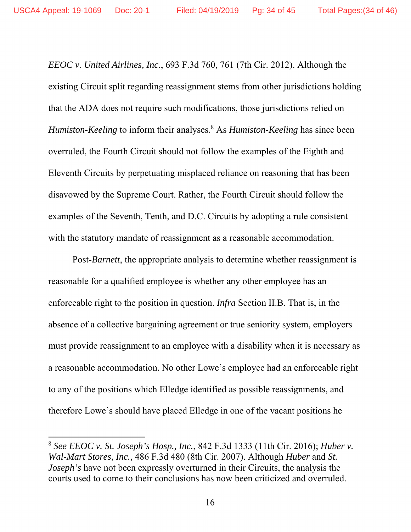*EEOC v. United Airlines, Inc.*, 693 F.3d 760, 761 (7th Cir. 2012). Although the existing Circuit split regarding reassignment stems from other jurisdictions holding that the ADA does not require such modifications, those jurisdictions relied on Humiston-Keeling to inform their analyses.<sup>8</sup> As *Humiston-Keeling* has since been overruled, the Fourth Circuit should not follow the examples of the Eighth and Eleventh Circuits by perpetuating misplaced reliance on reasoning that has been disavowed by the Supreme Court. Rather, the Fourth Circuit should follow the examples of the Seventh, Tenth, and D.C. Circuits by adopting a rule consistent with the statutory mandate of reassignment as a reasonable accommodation.

Post-*Barnett*, the appropriate analysis to determine whether reassignment is reasonable for a qualified employee is whether any other employee has an enforceable right to the position in question. *Infra* Section II.B. That is, in the absence of a collective bargaining agreement or true seniority system, employers must provide reassignment to an employee with a disability when it is necessary as a reasonable accommodation. No other Lowe's employee had an enforceable right to any of the positions which Elledge identified as possible reassignments, and therefore Lowe's should have placed Elledge in one of the vacant positions he

<sup>8</sup> *See EEOC v. St. Joseph's Hosp., Inc.*, 842 F.3d 1333 (11th Cir. 2016); *Huber v. Wal-Mart Stores, Inc.*, 486 F.3d 480 (8th Cir. 2007). Although *Huber* and *St. Joseph's* have not been expressly overturned in their Circuits, the analysis the courts used to come to their conclusions has now been criticized and overruled.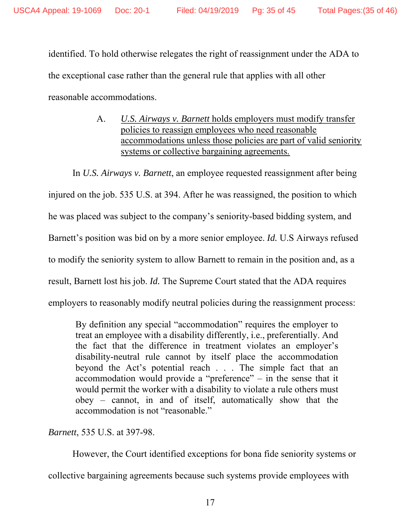identified. To hold otherwise relegates the right of reassignment under the ADA to the exceptional case rather than the general rule that applies with all other reasonable accommodations.

> A. *U.S. Airways v. Barnett* holds employers must modify transfer policies to reassign employees who need reasonable accommodations unless those policies are part of valid seniority systems or collective bargaining agreements.

In *U.S. Airways v. Barnett*, an employee requested reassignment after being injured on the job. 535 U.S. at 394. After he was reassigned, the position to which he was placed was subject to the company's seniority-based bidding system, and Barnett's position was bid on by a more senior employee. *Id.* U.S Airways refused to modify the seniority system to allow Barnett to remain in the position and, as a result, Barnett lost his job. *Id.* The Supreme Court stated that the ADA requires employers to reasonably modify neutral policies during the reassignment process:

By definition any special "accommodation" requires the employer to treat an employee with a disability differently, i.e., preferentially. And the fact that the difference in treatment violates an employer's disability-neutral rule cannot by itself place the accommodation beyond the Act's potential reach . . . The simple fact that an accommodation would provide a "preference" – in the sense that it would permit the worker with a disability to violate a rule others must obey – cannot, in and of itself, automatically show that the accommodation is not "reasonable."

*Barnett*, 535 U.S. at 397-98.

However, the Court identified exceptions for bona fide seniority systems or collective bargaining agreements because such systems provide employees with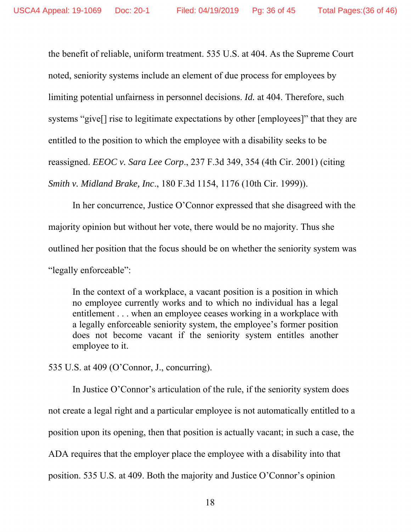the benefit of reliable, uniform treatment. 535 U.S. at 404. As the Supreme Court noted, seniority systems include an element of due process for employees by limiting potential unfairness in personnel decisions. *Id.* at 404. Therefore, such systems "give[] rise to legitimate expectations by other [employees]" that they are entitled to the position to which the employee with a disability seeks to be reassigned. *EEOC v. Sara Lee Corp*., 237 F.3d 349, 354 (4th Cir. 2001) (citing *Smith v. Midland Brake, Inc*., 180 F.3d 1154, 1176 (10th Cir. 1999)).

In her concurrence, Justice O'Connor expressed that she disagreed with the majority opinion but without her vote, there would be no majority. Thus she outlined her position that the focus should be on whether the seniority system was "legally enforceable":

In the context of a workplace, a vacant position is a position in which no employee currently works and to which no individual has a legal entitlement . . . when an employee ceases working in a workplace with a legally enforceable seniority system, the employee's former position does not become vacant if the seniority system entitles another employee to it.

535 U.S. at 409 (O'Connor, J., concurring).

In Justice O'Connor's articulation of the rule, if the seniority system does not create a legal right and a particular employee is not automatically entitled to a position upon its opening, then that position is actually vacant; in such a case, the ADA requires that the employer place the employee with a disability into that position. 535 U.S. at 409. Both the majority and Justice O'Connor's opinion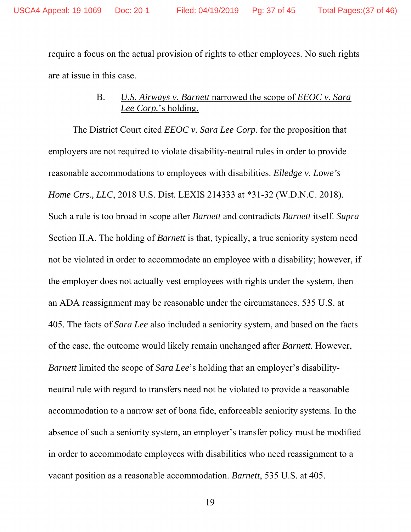require a focus on the actual provision of rights to other employees. No such rights are at issue in this case.

# B. *U.S. Airways v. Barnett* narrowed the scope of *EEOC v. Sara Lee Corp.*'s holding.

The District Court cited *EEOC v. Sara Lee Corp.* for the proposition that employers are not required to violate disability-neutral rules in order to provide reasonable accommodations to employees with disabilities. *Elledge v. Lowe's Home Ctrs., LLC*, 2018 U.S. Dist. LEXIS 214333 at \*31-32 (W.D.N.C. 2018). Such a rule is too broad in scope after *Barnett* and contradicts *Barnett* itself. *Supra* Section II.A. The holding of *Barnett* is that, typically, a true seniority system need not be violated in order to accommodate an employee with a disability; however, if the employer does not actually vest employees with rights under the system, then an ADA reassignment may be reasonable under the circumstances. 535 U.S. at 405. The facts of *Sara Lee* also included a seniority system, and based on the facts of the case, the outcome would likely remain unchanged after *Barnett*. However, *Barnett* limited the scope of *Sara Lee*'s holding that an employer's disabilityneutral rule with regard to transfers need not be violated to provide a reasonable accommodation to a narrow set of bona fide, enforceable seniority systems. In the absence of such a seniority system, an employer's transfer policy must be modified in order to accommodate employees with disabilities who need reassignment to a vacant position as a reasonable accommodation. *Barnett*, 535 U.S. at 405.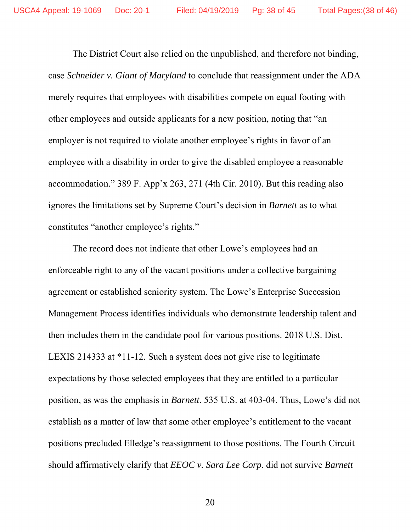The District Court also relied on the unpublished, and therefore not binding, case *Schneider v. Giant of Maryland* to conclude that reassignment under the ADA merely requires that employees with disabilities compete on equal footing with other employees and outside applicants for a new position, noting that "an employer is not required to violate another employee's rights in favor of an employee with a disability in order to give the disabled employee a reasonable accommodation." 389 F. App'x 263, 271 (4th Cir. 2010). But this reading also ignores the limitations set by Supreme Court's decision in *Barnett* as to what constitutes "another employee's rights."

The record does not indicate that other Lowe's employees had an enforceable right to any of the vacant positions under a collective bargaining agreement or established seniority system. The Lowe's Enterprise Succession Management Process identifies individuals who demonstrate leadership talent and then includes them in the candidate pool for various positions. 2018 U.S. Dist. LEXIS 214333 at \*11-12. Such a system does not give rise to legitimate expectations by those selected employees that they are entitled to a particular position, as was the emphasis in *Barnett*. 535 U.S. at 403-04. Thus, Lowe's did not establish as a matter of law that some other employee's entitlement to the vacant positions precluded Elledge's reassignment to those positions. The Fourth Circuit should affirmatively clarify that *EEOC v. Sara Lee Corp.* did not survive *Barnett*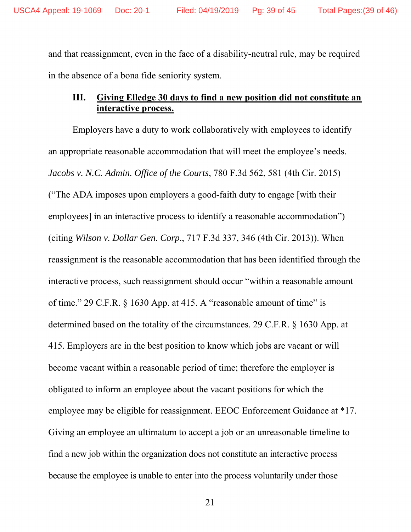and that reassignment, even in the face of a disability-neutral rule, may be required in the absence of a bona fide seniority system.

# **III. Giving Elledge 30 days to find a new position did not constitute an interactive process.**

Employers have a duty to work collaboratively with employees to identify an appropriate reasonable accommodation that will meet the employee's needs. *Jacobs v. N.C. Admin. Office of the Courts*, 780 F.3d 562, 581 (4th Cir. 2015) ("The ADA imposes upon employers a good-faith duty to engage [with their employees] in an interactive process to identify a reasonable accommodation") (citing *Wilson v. Dollar Gen. Corp*., 717 F.3d 337, 346 (4th Cir. 2013)). When reassignment is the reasonable accommodation that has been identified through the interactive process, such reassignment should occur "within a reasonable amount of time." 29 C.F.R. § 1630 App. at 415. A "reasonable amount of time" is determined based on the totality of the circumstances. 29 C.F.R. § 1630 App. at 415. Employers are in the best position to know which jobs are vacant or will become vacant within a reasonable period of time; therefore the employer is obligated to inform an employee about the vacant positions for which the employee may be eligible for reassignment. EEOC Enforcement Guidance at \*17. Giving an employee an ultimatum to accept a job or an unreasonable timeline to find a new job within the organization does not constitute an interactive process because the employee is unable to enter into the process voluntarily under those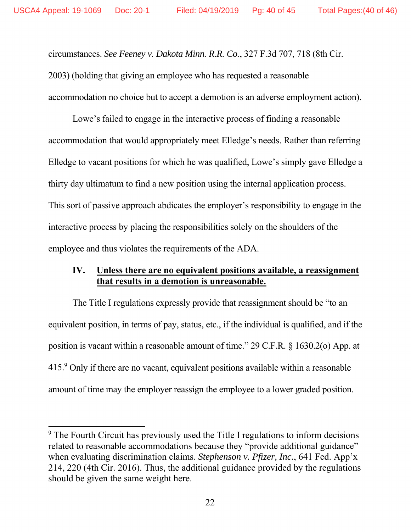circumstances. *See Feeney v. Dakota Minn. R.R. Co.*, 327 F.3d 707, 718 (8th Cir. 2003) (holding that giving an employee who has requested a reasonable accommodation no choice but to accept a demotion is an adverse employment action).

Lowe's failed to engage in the interactive process of finding a reasonable accommodation that would appropriately meet Elledge's needs. Rather than referring Elledge to vacant positions for which he was qualified, Lowe's simply gave Elledge a thirty day ultimatum to find a new position using the internal application process. This sort of passive approach abdicates the employer's responsibility to engage in the interactive process by placing the responsibilities solely on the shoulders of the employee and thus violates the requirements of the ADA.

# **IV. Unless there are no equivalent positions available, a reassignment that results in a demotion is unreasonable.**

The Title I regulations expressly provide that reassignment should be "to an equivalent position, in terms of pay, status, etc., if the individual is qualified, and if the position is vacant within a reasonable amount of time." 29 C.F.R. § 1630.2(o) App. at 415.<sup>9</sup> Only if there are no vacant, equivalent positions available within a reasonable amount of time may the employer reassign the employee to a lower graded position.

<sup>&</sup>lt;sup>9</sup> The Fourth Circuit has previously used the Title I regulations to inform decisions related to reasonable accommodations because they "provide additional guidance" when evaluating discrimination claims. *Stephenson v. Pfizer, Inc.*, 641 Fed. App'x 214, 220 (4th Cir. 2016). Thus, the additional guidance provided by the regulations should be given the same weight here.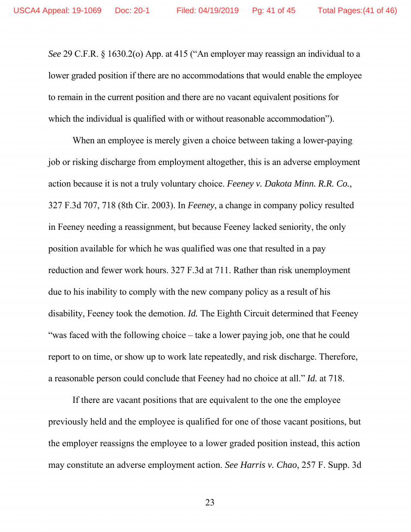*See* 29 C.F.R. § 1630.2(o) App. at 415 ("An employer may reassign an individual to a lower graded position if there are no accommodations that would enable the employee to remain in the current position and there are no vacant equivalent positions for which the individual is qualified with or without reasonable accommodation").

When an employee is merely given a choice between taking a lower-paying job or risking discharge from employment altogether, this is an adverse employment action because it is not a truly voluntary choice. *Feeney v. Dakota Minn. R.R. Co.*, 327 F.3d 707, 718 (8th Cir. 2003). In *Feeney*, a change in company policy resulted in Feeney needing a reassignment, but because Feeney lacked seniority, the only position available for which he was qualified was one that resulted in a pay reduction and fewer work hours. 327 F.3d at 711. Rather than risk unemployment due to his inability to comply with the new company policy as a result of his disability, Feeney took the demotion. *Id.* The Eighth Circuit determined that Feeney "was faced with the following choice – take a lower paying job, one that he could report to on time, or show up to work late repeatedly, and risk discharge. Therefore, a reasonable person could conclude that Feeney had no choice at all." *Id.* at 718.

If there are vacant positions that are equivalent to the one the employee previously held and the employee is qualified for one of those vacant positions, but the employer reassigns the employee to a lower graded position instead, this action may constitute an adverse employment action. *See Harris v. Chao*, 257 F. Supp. 3d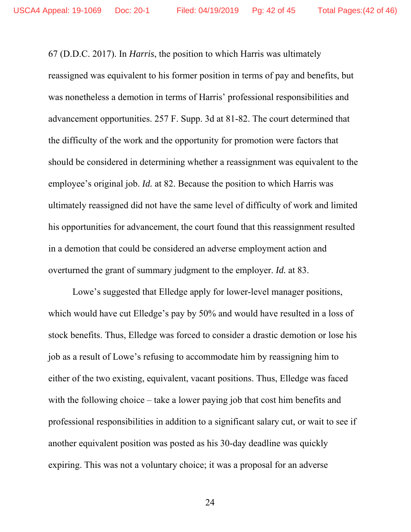67 (D.D.C. 2017). In *Harris*, the position to which Harris was ultimately reassigned was equivalent to his former position in terms of pay and benefits, but was nonetheless a demotion in terms of Harris' professional responsibilities and advancement opportunities. 257 F. Supp. 3d at 81-82. The court determined that the difficulty of the work and the opportunity for promotion were factors that should be considered in determining whether a reassignment was equivalent to the employee's original job. *Id.* at 82. Because the position to which Harris was ultimately reassigned did not have the same level of difficulty of work and limited his opportunities for advancement, the court found that this reassignment resulted in a demotion that could be considered an adverse employment action and overturned the grant of summary judgment to the employer. *Id.* at 83.

Lowe's suggested that Elledge apply for lower-level manager positions, which would have cut Elledge's pay by 50% and would have resulted in a loss of stock benefits. Thus, Elledge was forced to consider a drastic demotion or lose his job as a result of Lowe's refusing to accommodate him by reassigning him to either of the two existing, equivalent, vacant positions. Thus, Elledge was faced with the following choice – take a lower paying job that cost him benefits and professional responsibilities in addition to a significant salary cut, or wait to see if another equivalent position was posted as his 30-day deadline was quickly expiring. This was not a voluntary choice; it was a proposal for an adverse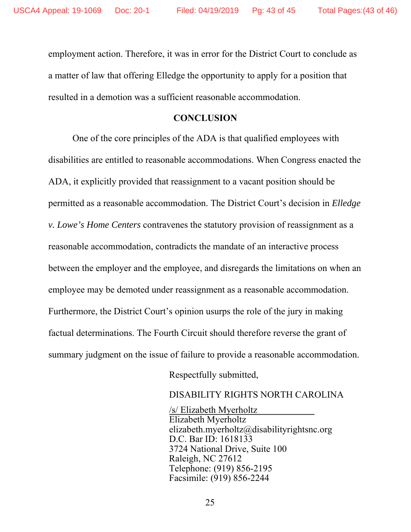employment action. Therefore, it was in error for the District Court to conclude as a matter of law that offering Elledge the opportunity to apply for a position that resulted in a demotion was a sufficient reasonable accommodation.

### **CONCLUSION**

One of the core principles of the ADA is that qualified employees with disabilities are entitled to reasonable accommodations. When Congress enacted the ADA, it explicitly provided that reassignment to a vacant position should be permitted as a reasonable accommodation. The District Court's decision in *Elledge v. Lowe's Home Centers* contravenes the statutory provision of reassignment as a reasonable accommodation, contradicts the mandate of an interactive process between the employer and the employee, and disregards the limitations on when an employee may be demoted under reassignment as a reasonable accommodation. Furthermore, the District Court's opinion usurps the role of the jury in making factual determinations. The Fourth Circuit should therefore reverse the grant of summary judgment on the issue of failure to provide a reasonable accommodation.

Respectfully submitted,

### DISABILITY RIGHTS NORTH CAROLINA

 /s/ Elizabeth Myerholtz Elizabeth Myerholtz elizabeth.myerholtz@disabilityrightsnc.org D.C. Bar ID: 1618133 3724 National Drive, Suite 100 Raleigh, NC 27612 Telephone: (919) 856-2195 Facsimile: (919) 856-2244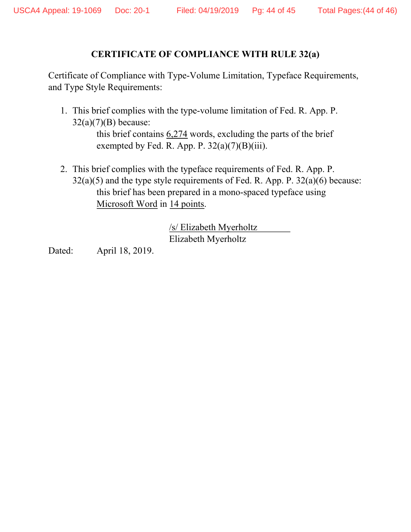### **CERTIFICATE OF COMPLIANCE WITH RULE 32(a)**

Certificate of Compliance with Type-Volume Limitation, Typeface Requirements, and Type Style Requirements:

- 1. This brief complies with the type-volume limitation of Fed. R. App. P.  $32(a)(7)(B)$  because: this brief contains 6,274 words, excluding the parts of the brief exempted by Fed. R. App. P.  $32(a)(7)(B)(iii)$ .
- 2. This brief complies with the typeface requirements of Fed. R. App. P.  $32(a)(5)$  and the type style requirements of Fed. R. App. P.  $32(a)(6)$  because: this brief has been prepared in a mono-spaced typeface using Microsoft Word in 14 points.

 /s/ Elizabeth Myerholtz Elizabeth Myerholtz

Dated: April 18, 2019.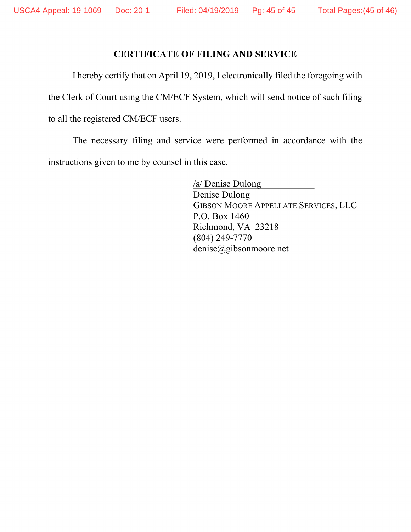# **CERTIFICATE OF FILING AND SERVICE**

I hereby certify that on April 19, 2019, I electronically filed the foregoing with

the Clerk of Court using the CM/ECF System, which will send notice of such filing

to all the registered CM/ECF users.

The necessary filing and service were performed in accordance with the instructions given to me by counsel in this case.

> /s/ Denise Dulong Denise Dulong GIBSON MOORE APPELLATE SERVICES, LLC P.O. Box 1460 Richmond, VA 23218 (804) 249-7770 denise@gibsonmoore.net